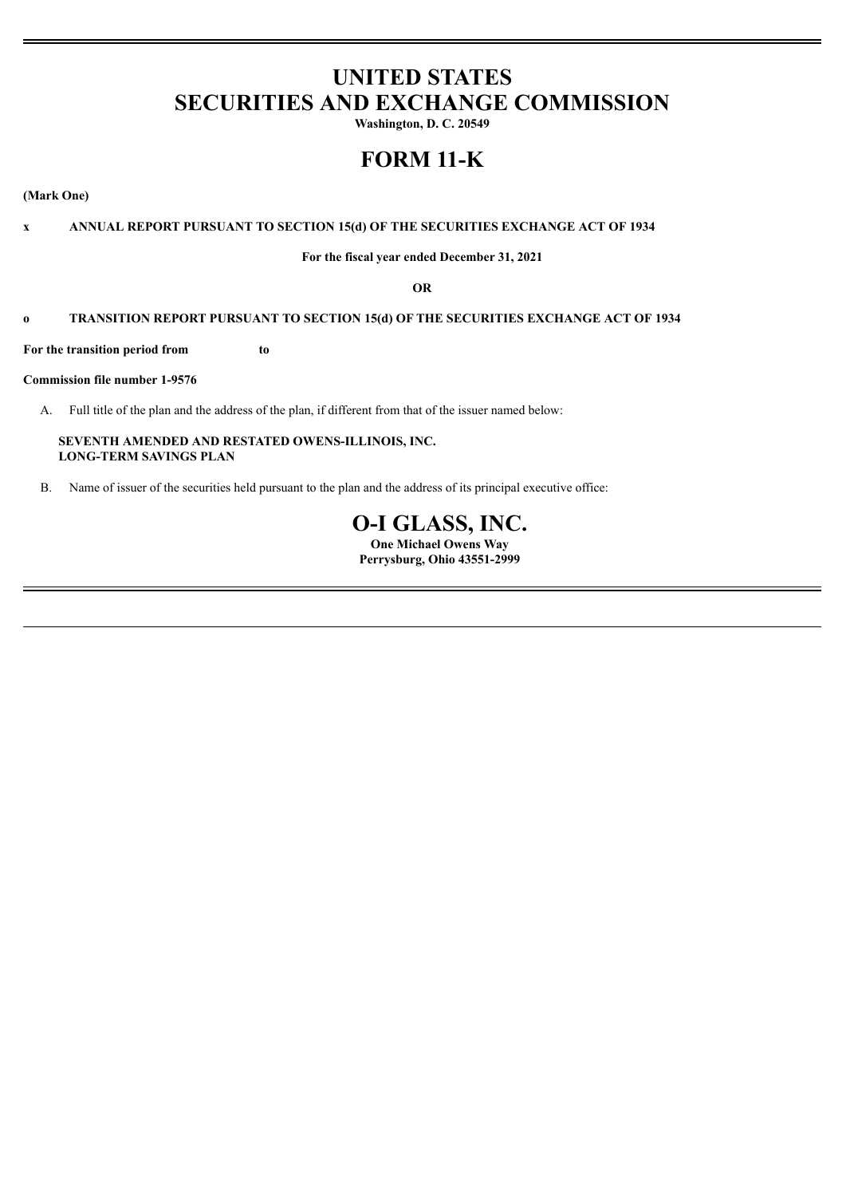# **UNITED STATES SECURITIES AND EXCHANGE COMMISSION**

**Washington, D. C. 20549**

# **FORM 11-K**

**(Mark One)**

# **x ANNUAL REPORT PURSUANT TO SECTION 15(d) OF THE SECURITIES EXCHANGE ACT OF 1934**

**For the fiscal year ended December 31, 2021**

**OR**

## **o TRANSITION REPORT PURSUANT TO SECTION 15(d) OF THE SECURITIES EXCHANGE ACT OF 1934**

**For the transition period from to**

#### **Commission file number 1-9576**

A. Full title of the plan and the address of the plan, if different from that of the issuer named below:

**SEVENTH AMENDED AND RESTATED OWENS-ILLINOIS, INC. LONG-TERM SAVINGS PLAN**

B. Name of issuer of the securities held pursuant to the plan and the address of its principal executive office:

**O-I GLASS, INC. One Michael Owens Way Perrysburg, Ohio 43551-2999**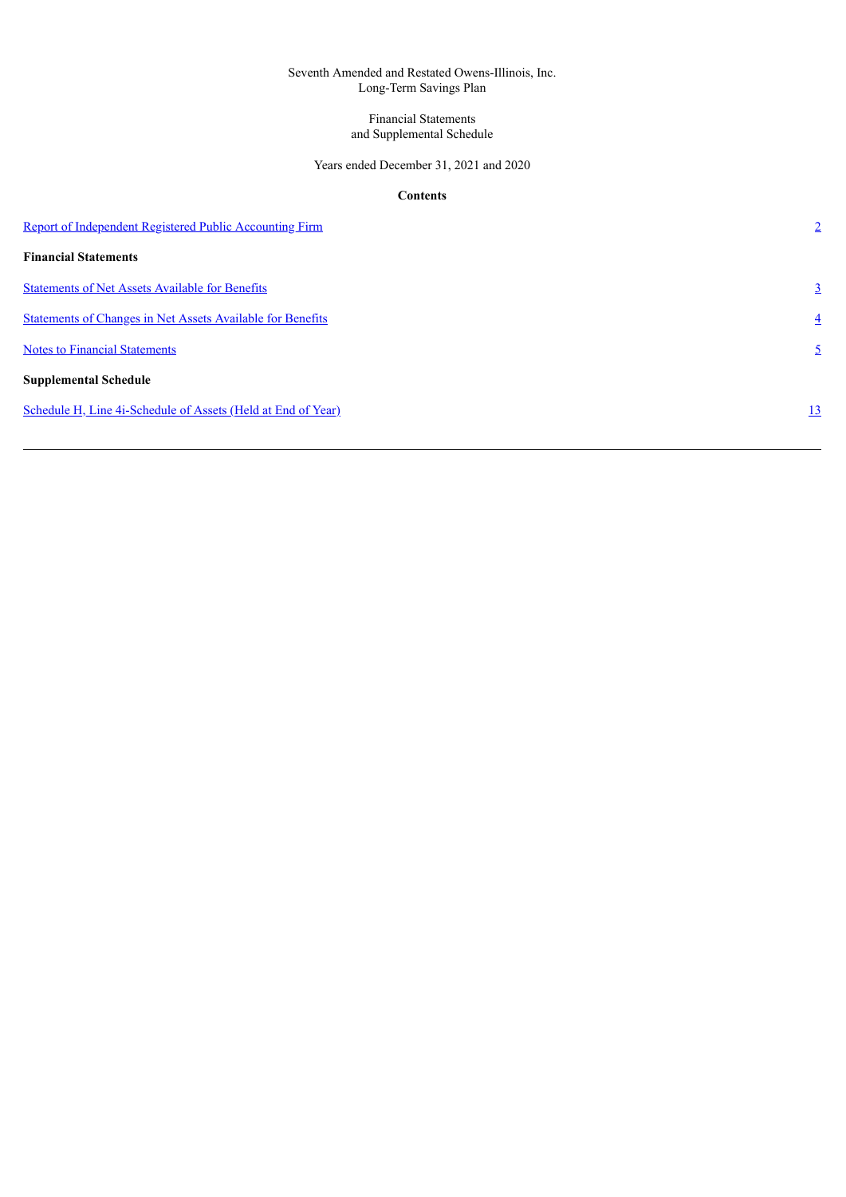#### Financial Statements and Supplemental Schedule

Years ended December 31, 2021 and 2020

# **Contents**

| Report of Independent Registered Public Accounting Firm           | $\overline{2}$ |
|-------------------------------------------------------------------|----------------|
| <b>Financial Statements</b>                                       |                |
| <b>Statements of Net Assets Available for Benefits</b>            | $\overline{3}$ |
| <b>Statements of Changes in Net Assets Available for Benefits</b> | $\overline{4}$ |
| <b>Notes to Financial Statements</b>                              | 5 <sup>5</sup> |
| <b>Supplemental Schedule</b>                                      |                |
| Schedule H, Line 4i-Schedule of Assets (Held at End of Year)      | 13             |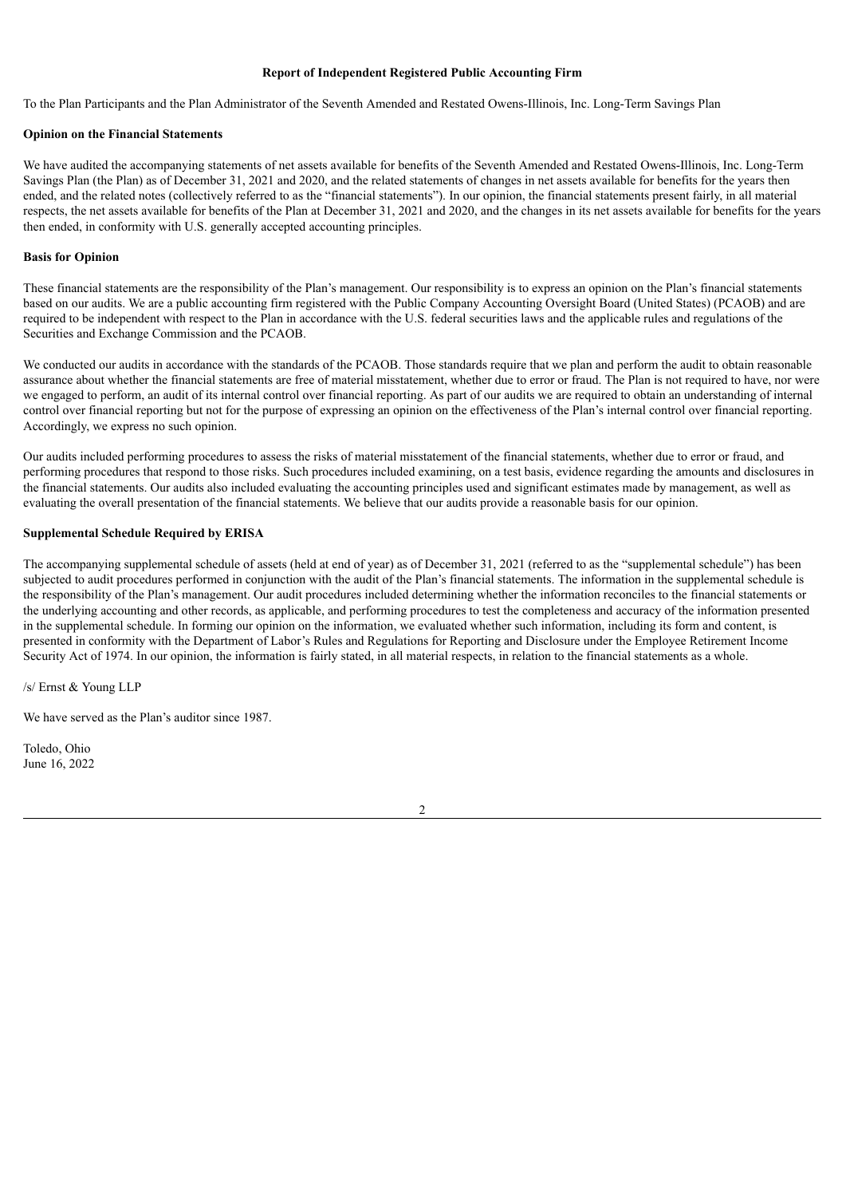#### **Report of Independent Registered Public Accounting Firm**

<span id="page-2-0"></span>To the Plan Participants and the Plan Administrator of the Seventh Amended and Restated Owens-Illinois, Inc. Long-Term Savings Plan

#### **Opinion on the Financial Statements**

We have audited the accompanying statements of net assets available for benefits of the Seventh Amended and Restated Owens-Illinois, Inc. Long-Term Savings Plan (the Plan) as of December 31, 2021 and 2020, and the related statements of changes in net assets available for benefits for the years then ended, and the related notes (collectively referred to as the "financial statements"). In our opinion, the financial statements present fairly, in all material respects, the net assets available for benefits of the Plan at December 31, 2021 and 2020, and the changes in its net assets available for benefits for the years then ended, in conformity with U.S. generally accepted accounting principles.

#### **Basis for Opinion**

These financial statements are the responsibility of the Plan's management. Our responsibility is to express an opinion on the Plan's financial statements based on our audits. We are a public accounting firm registered with the Public Company Accounting Oversight Board (United States) (PCAOB) and are required to be independent with respect to the Plan in accordance with the U.S. federal securities laws and the applicable rules and regulations of the Securities and Exchange Commission and the PCAOB.

We conducted our audits in accordance with the standards of the PCAOB. Those standards require that we plan and perform the audit to obtain reasonable assurance about whether the financial statements are free of material misstatement, whether due to error or fraud. The Plan is not required to have, nor were we engaged to perform, an audit of its internal control over financial reporting. As part of our audits we are required to obtain an understanding of internal control over financial reporting but not for the purpose of expressing an opinion on the effectiveness of the Plan's internal control over financial reporting. Accordingly, we express no such opinion.

Our audits included performing procedures to assess the risks of material misstatement of the financial statements, whether due to error or fraud, and performing procedures that respond to those risks. Such procedures included examining, on a test basis, evidence regarding the amounts and disclosures in the financial statements. Our audits also included evaluating the accounting principles used and significant estimates made by management, as well as evaluating the overall presentation of the financial statements. We believe that our audits provide a reasonable basis for our opinion.

#### **Supplemental Schedule Required by ERISA**

The accompanying supplemental schedule of assets (held at end of year) as of December 31, 2021 (referred to as the "supplemental schedule") has been subjected to audit procedures performed in conjunction with the audit of the Plan's financial statements. The information in the supplemental schedule is the responsibility of the Plan's management. Our audit procedures included determining whether the information reconciles to the financial statements or the underlying accounting and other records, as applicable, and performing procedures to test the completeness and accuracy of the information presented in the supplemental schedule. In forming our opinion on the information, we evaluated whether such information, including its form and content, is presented in conformity with the Department of Labor's Rules and Regulations for Reporting and Disclosure under the Employee Retirement Income Security Act of 1974. In our opinion, the information is fairly stated, in all material respects, in relation to the financial statements as a whole.

/s/ Ernst & Young LLP

We have served as the Plan's auditor since 1987.

Toledo, Ohio June 16, 2022

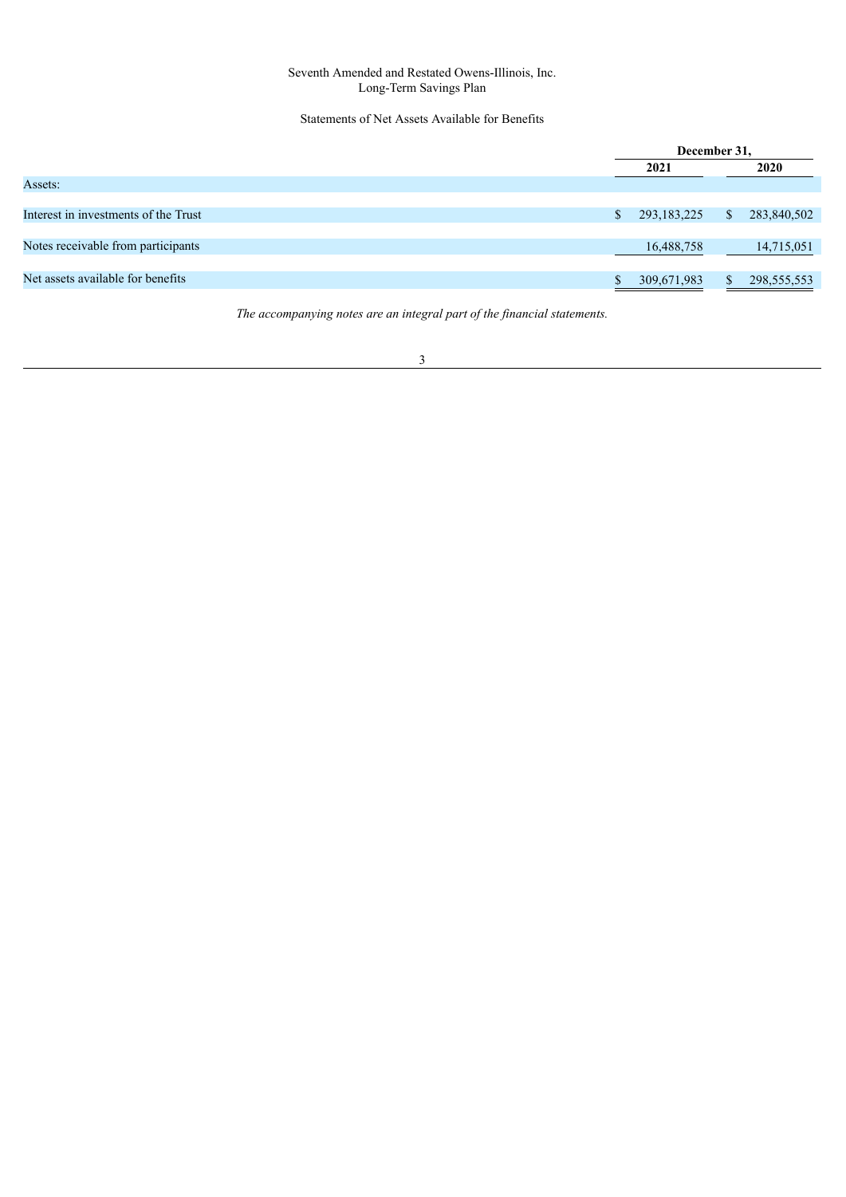# Statements of Net Assets Available for Benefits

<span id="page-3-0"></span>

|                                      | December 31,  |              |               |
|--------------------------------------|---------------|--------------|---------------|
|                                      | 2021          |              | 2020          |
| Assets:                              |               |              |               |
|                                      |               |              |               |
| Interest in investments of the Trust | 293, 183, 225 | <sup>S</sup> | 283,840,502   |
|                                      |               |              |               |
| Notes receivable from participants   | 16,488,758    |              | 14,715,051    |
|                                      |               |              |               |
| Net assets available for benefits    | 309,671,983   | S            | 298, 555, 553 |
|                                      |               |              |               |

*The accompanying notes are an integral part of the financial statements.*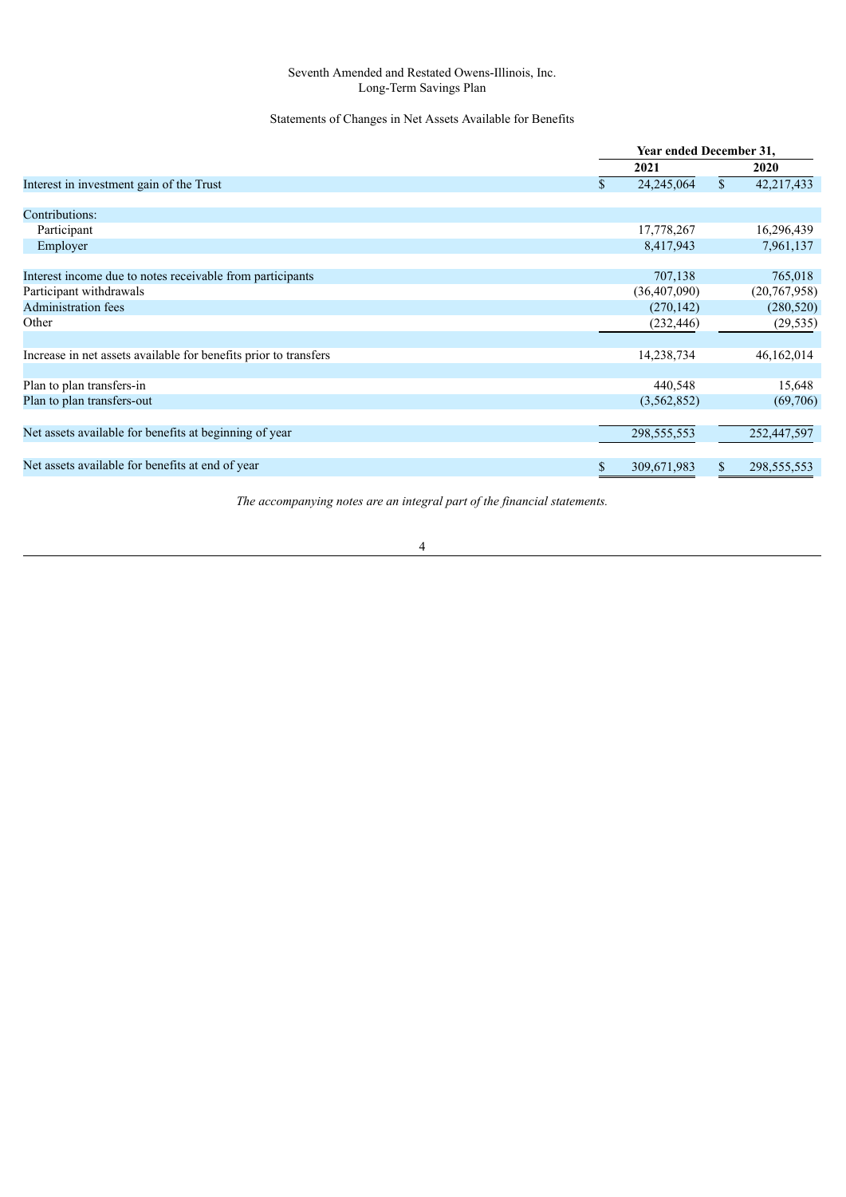# Statements of Changes in Net Assets Available for Benefits

<span id="page-4-0"></span>

|                                                                  |                   | Year ended December 31, |                |  |
|------------------------------------------------------------------|-------------------|-------------------------|----------------|--|
|                                                                  | 2021              |                         | 2020           |  |
| Interest in investment gain of the Trust                         | 24,245,064<br>\$  | $\mathbb{S}$            | 42,217,433     |  |
|                                                                  |                   |                         |                |  |
| Contributions:                                                   |                   |                         |                |  |
| Participant                                                      | 17,778,267        |                         | 16,296,439     |  |
| Employer                                                         | 8,417,943         |                         | 7,961,137      |  |
|                                                                  |                   |                         |                |  |
| Interest income due to notes receivable from participants        | 707,138           |                         | 765,018        |  |
| Participant withdrawals                                          | (36, 407, 090)    |                         | (20, 767, 958) |  |
| <b>Administration fees</b>                                       | (270, 142)        |                         | (280, 520)     |  |
| Other                                                            | (232, 446)        |                         | (29, 535)      |  |
|                                                                  |                   |                         |                |  |
| Increase in net assets available for benefits prior to transfers | 14,238,734        |                         | 46,162,014     |  |
|                                                                  |                   |                         |                |  |
| Plan to plan transfers-in                                        | 440,548           |                         | 15,648         |  |
| Plan to plan transfers-out                                       | (3,562,852)       |                         | (69,706)       |  |
|                                                                  |                   |                         |                |  |
| Net assets available for benefits at beginning of year           | 298, 555, 553     |                         | 252,447,597    |  |
|                                                                  |                   |                         |                |  |
| Net assets available for benefits at end of year                 | \$<br>309,671,983 | \$                      | 298, 555, 553  |  |

*The accompanying notes are an integral part of the financial statements.*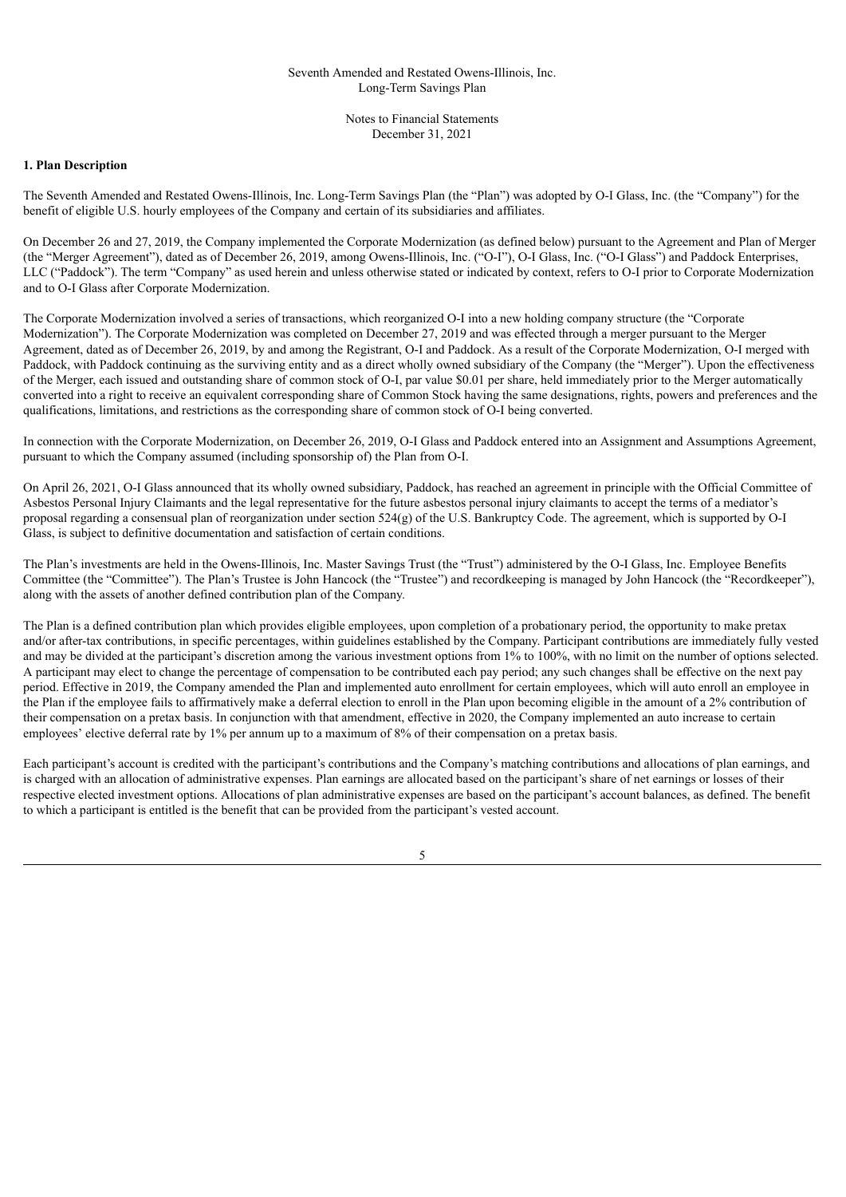Notes to Financial Statements December 31, 2021

#### <span id="page-5-0"></span>**1. Plan Description**

The Seventh Amended and Restated Owens-Illinois, Inc. Long-Term Savings Plan (the "Plan") was adopted by O-I Glass, Inc. (the "Company") for the benefit of eligible U.S. hourly employees of the Company and certain of its subsidiaries and affiliates.

On December 26 and 27, 2019, the Company implemented the Corporate Modernization (as defined below) pursuant to the Agreement and Plan of Merger (the "Merger Agreement"), dated as of December 26, 2019, among Owens-Illinois, Inc. ("O-I"), O-I Glass, Inc. ("O-I Glass") and Paddock Enterprises, LLC ("Paddock"). The term "Company" as used herein and unless otherwise stated or indicated by context, refers to O-I prior to Corporate Modernization and to O-I Glass after Corporate Modernization.

The Corporate Modernization involved a series of transactions, which reorganized O-I into a new holding company structure (the "Corporate Modernization"). The Corporate Modernization was completed on December 27, 2019 and was effected through a merger pursuant to the Merger Agreement, dated as of December 26, 2019, by and among the Registrant, O-I and Paddock. As a result of the Corporate Modernization, O-I merged with Paddock, with Paddock continuing as the surviving entity and as a direct wholly owned subsidiary of the Company (the "Merger"). Upon the effectiveness of the Merger, each issued and outstanding share of common stock of O-I, par value \$0.01 per share, held immediately prior to the Merger automatically converted into a right to receive an equivalent corresponding share of Common Stock having the same designations, rights, powers and preferences and the qualifications, limitations, and restrictions as the corresponding share of common stock of O-I being converted.

In connection with the Corporate Modernization, on December 26, 2019, O-I Glass and Paddock entered into an Assignment and Assumptions Agreement, pursuant to which the Company assumed (including sponsorship of) the Plan from O-I.

On April 26, 2021, O-I Glass announced that its wholly owned subsidiary, Paddock, has reached an agreement in principle with the Official Committee of Asbestos Personal Injury Claimants and the legal representative for the future asbestos personal injury claimants to accept the terms of a mediator's proposal regarding a consensual plan of reorganization under section 524(g) of the U.S. Bankruptcy Code. The agreement, which is supported by O-I Glass, is subject to definitive documentation and satisfaction of certain conditions.

The Plan's investments are held in the Owens-Illinois, Inc. Master Savings Trust (the "Trust") administered by the O-I Glass, Inc. Employee Benefits Committee (the "Committee"). The Plan's Trustee is John Hancock (the "Trustee") and recordkeeping is managed by John Hancock (the "Recordkeeper"), along with the assets of another defined contribution plan of the Company.

The Plan is a defined contribution plan which provides eligible employees, upon completion of a probationary period, the opportunity to make pretax and/or after-tax contributions, in specific percentages, within guidelines established by the Company. Participant contributions are immediately fully vested and may be divided at the participant's discretion among the various investment options from 1% to 100%, with no limit on the number of options selected. A participant may elect to change the percentage of compensation to be contributed each pay period; any such changes shall be effective on the next pay period. Effective in 2019, the Company amended the Plan and implemented auto enrollment for certain employees, which will auto enroll an employee in the Plan if the employee fails to affirmatively make a deferral election to enroll in the Plan upon becoming eligible in the amount of a 2% contribution of their compensation on a pretax basis. In conjunction with that amendment, effective in 2020, the Company implemented an auto increase to certain employees' elective deferral rate by 1% per annum up to a maximum of 8% of their compensation on a pretax basis.

Each participant's account is credited with the participant's contributions and the Company's matching contributions and allocations of plan earnings, and is charged with an allocation of administrative expenses. Plan earnings are allocated based on the participant's share of net earnings or losses of their respective elected investment options. Allocations of plan administrative expenses are based on the participant's account balances, as defined. The benefit to which a participant is entitled is the benefit that can be provided from the participant's vested account.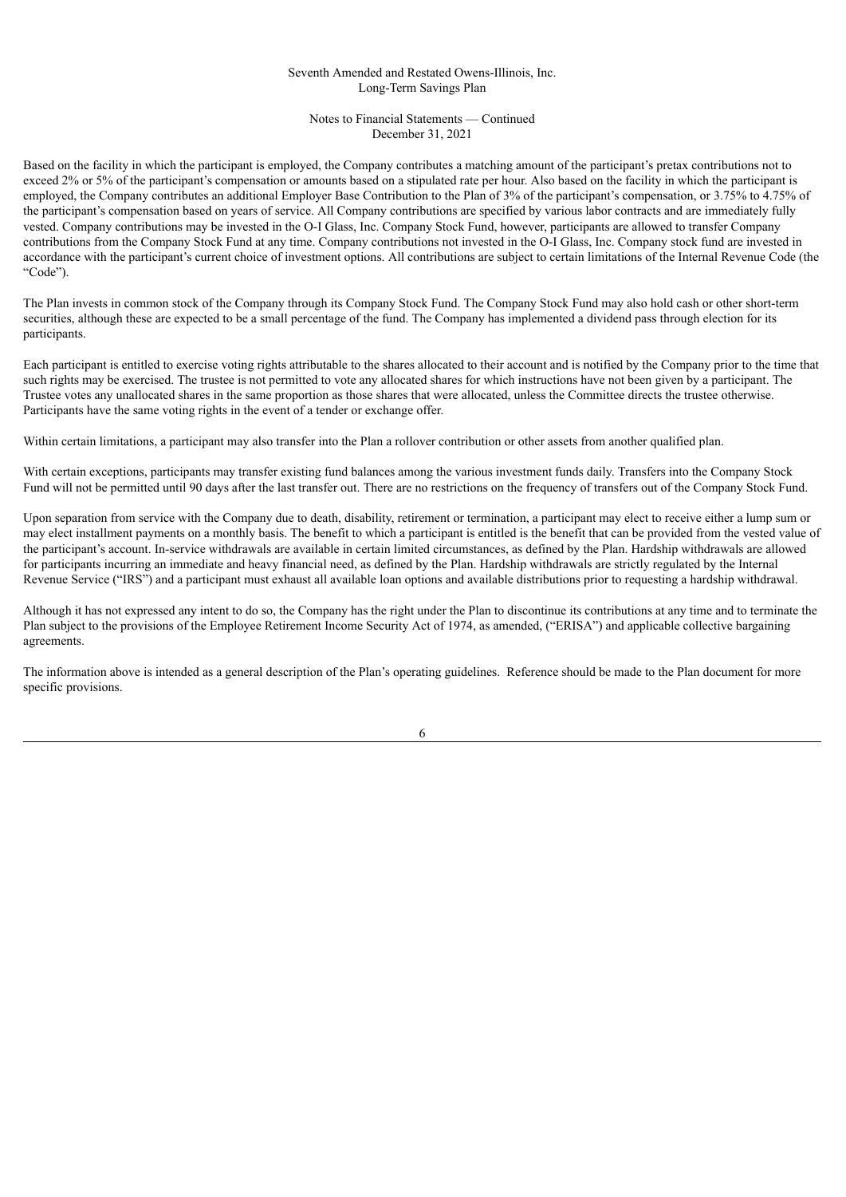#### Notes to Financial Statements — Continued December 31, 2021

Based on the facility in which the participant is employed, the Company contributes a matching amount of the participant's pretax contributions not to exceed 2% or 5% of the participant's compensation or amounts based on a stipulated rate per hour. Also based on the facility in which the participant is employed, the Company contributes an additional Employer Base Contribution to the Plan of 3% of the participant's compensation, or 3.75% to 4.75% of the participant's compensation based on years of service. All Company contributions are specified by various labor contracts and are immediately fully vested. Company contributions may be invested in the O-I Glass, Inc. Company Stock Fund, however, participants are allowed to transfer Company contributions from the Company Stock Fund at any time. Company contributions not invested in the O-I Glass, Inc. Company stock fund are invested in accordance with the participant's current choice of investment options. All contributions are subject to certain limitations of the Internal Revenue Code (the "Code").

The Plan invests in common stock of the Company through its Company Stock Fund. The Company Stock Fund may also hold cash or other short-term securities, although these are expected to be a small percentage of the fund. The Company has implemented a dividend pass through election for its participants.

Each participant is entitled to exercise voting rights attributable to the shares allocated to their account and is notified by the Company prior to the time that such rights may be exercised. The trustee is not permitted to vote any allocated shares for which instructions have not been given by a participant. The Trustee votes any unallocated shares in the same proportion as those shares that were allocated, unless the Committee directs the trustee otherwise. Participants have the same voting rights in the event of a tender or exchange offer.

Within certain limitations, a participant may also transfer into the Plan a rollover contribution or other assets from another qualified plan.

With certain exceptions, participants may transfer existing fund balances among the various investment funds daily. Transfers into the Company Stock Fund will not be permitted until 90 days after the last transfer out. There are no restrictions on the frequency of transfers out of the Company Stock Fund.

Upon separation from service with the Company due to death, disability, retirement or termination, a participant may elect to receive either a lump sum or may elect installment payments on a monthly basis. The benefit to which a participant is entitled is the benefit that can be provided from the vested value of the participant's account. In-service withdrawals are available in certain limited circumstances, as defined by the Plan. Hardship withdrawals are allowed for participants incurring an immediate and heavy financial need, as defined by the Plan. Hardship withdrawals are strictly regulated by the Internal Revenue Service ("IRS") and a participant must exhaust all available loan options and available distributions prior to requesting a hardship withdrawal.

Although it has not expressed any intent to do so, the Company has the right under the Plan to discontinue its contributions at any time and to terminate the Plan subject to the provisions of the Employee Retirement Income Security Act of 1974, as amended, ("ERISA") and applicable collective bargaining agreements.

The information above is intended as a general description of the Plan's operating guidelines. Reference should be made to the Plan document for more specific provisions.

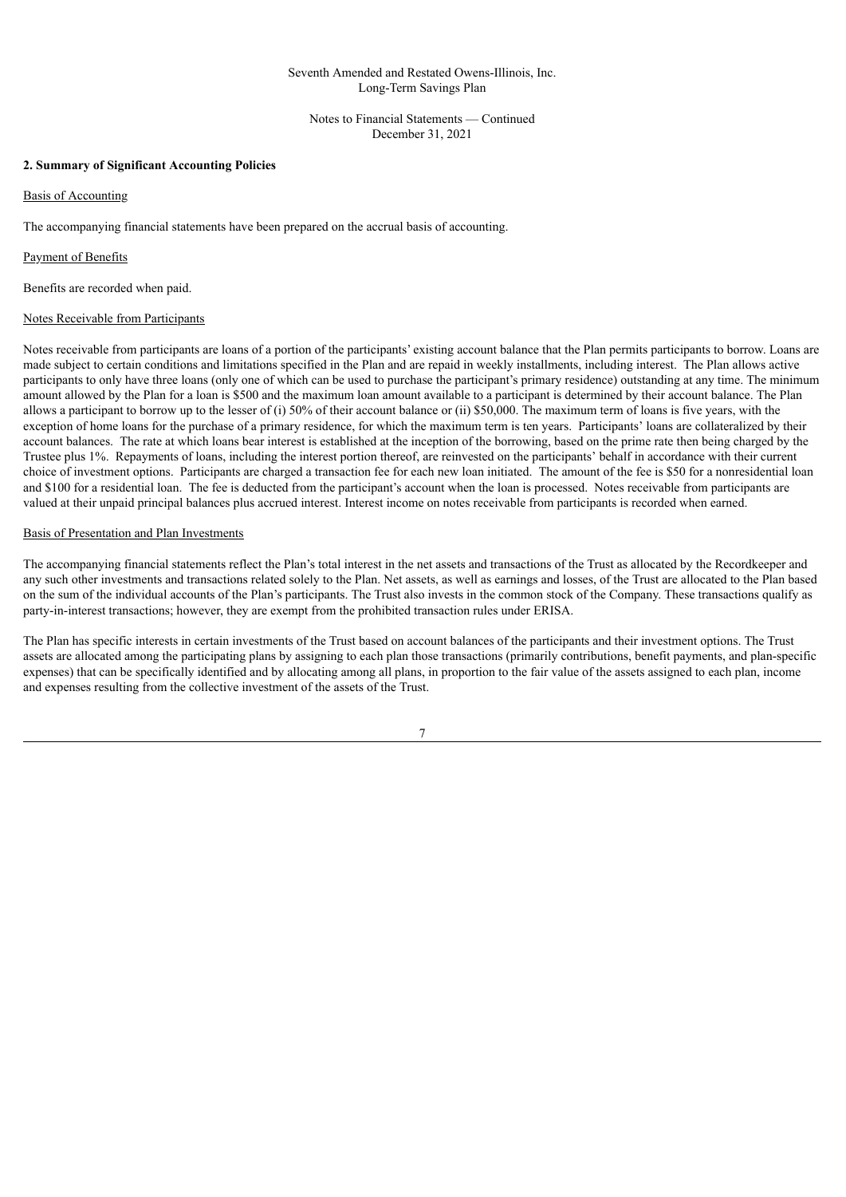Notes to Financial Statements — Continued December 31, 2021

#### **2. Summary of Significant Accounting Policies**

#### Basis of Accounting

The accompanying financial statements have been prepared on the accrual basis of accounting.

#### Payment of Benefits

Benefits are recorded when paid.

#### Notes Receivable from Participants

Notes receivable from participants are loans of a portion of the participants' existing account balance that the Plan permits participants to borrow. Loans are made subject to certain conditions and limitations specified in the Plan and are repaid in weekly installments, including interest. The Plan allows active participants to only have three loans (only one of which can be used to purchase the participant's primary residence) outstanding at any time. The minimum amount allowed by the Plan for a loan is \$500 and the maximum loan amount available to a participant is determined by their account balance. The Plan allows a participant to borrow up to the lesser of (i) 50% of their account balance or (ii) \$50,000. The maximum term of loans is five years, with the exception of home loans for the purchase of a primary residence, for which the maximum term is ten years. Participants' loans are collateralized by their account balances. The rate at which loans bear interest is established at the inception of the borrowing, based on the prime rate then being charged by the Trustee plus 1%. Repayments of loans, including the interest portion thereof, are reinvested on the participants' behalf in accordance with their current choice of investment options. Participants are charged a transaction fee for each new loan initiated. The amount of the fee is \$50 for a nonresidential loan and \$100 for a residential loan. The fee is deducted from the participant's account when the loan is processed. Notes receivable from participants are valued at their unpaid principal balances plus accrued interest. Interest income on notes receivable from participants is recorded when earned.

#### Basis of Presentation and Plan Investments

The accompanying financial statements reflect the Plan's total interest in the net assets and transactions of the Trust as allocated by the Recordkeeper and any such other investments and transactions related solely to the Plan. Net assets, as well as earnings and losses, of the Trust are allocated to the Plan based on the sum of the individual accounts of the Plan's participants. The Trust also invests in the common stock of the Company. These transactions qualify as party-in-interest transactions; however, they are exempt from the prohibited transaction rules under ERISA.

The Plan has specific interests in certain investments of the Trust based on account balances of the participants and their investment options. The Trust assets are allocated among the participating plans by assigning to each plan those transactions (primarily contributions, benefit payments, and plan-specific expenses) that can be specifically identified and by allocating among all plans, in proportion to the fair value of the assets assigned to each plan, income and expenses resulting from the collective investment of the assets of the Trust.

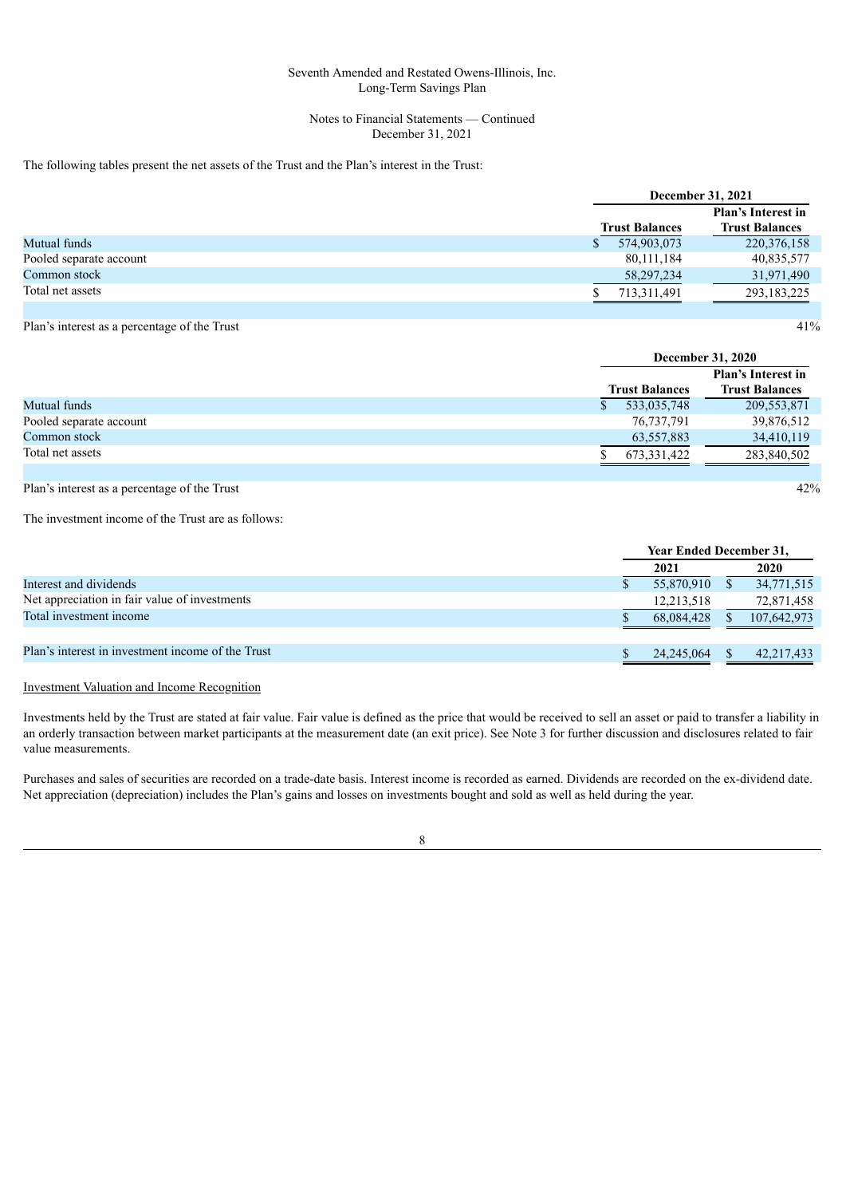#### Notes to Financial Statements — Continued December 31, 2021

### The following tables present the net assets of the Trust and the Plan's interest in the Trust:

|                         |                       | December 31, 2021         |  |  |  |
|-------------------------|-----------------------|---------------------------|--|--|--|
|                         |                       | <b>Plan's Interest in</b> |  |  |  |
|                         | <b>Trust Balances</b> | <b>Trust Balances</b>     |  |  |  |
| Mutual funds            | 574,903,073           | 220, 376, 158             |  |  |  |
| Pooled separate account | 80,111,184            | 40,835,577                |  |  |  |
| Common stock            | 58, 297, 234          | 31,971,490                |  |  |  |
| Total net assets        | 713,311,491           | 293, 183, 225             |  |  |  |
|                         |                       |                           |  |  |  |

Plan's interest as a percentage of the Trust 41%

|                         | <b>December 31, 2020</b>  |                       |  |  |
|-------------------------|---------------------------|-----------------------|--|--|
|                         | <b>Plan's Interest in</b> |                       |  |  |
|                         | <b>Trust Balances</b>     | <b>Trust Balances</b> |  |  |
| Mutual funds            | 533,035,748               | 209, 553, 871         |  |  |
| Pooled separate account | 76,737,791                | 39,876,512            |  |  |
| Common stock            | 63,557,883                | 34,410,119            |  |  |
| Total net assets        | 673,331,422               | 283,840,502           |  |  |
|                         |                           |                       |  |  |

# Plan's interest as a percentage of the Trust 42%

The investment income of the Trust are as follows:

|                                                   | <b>Year Ended December 31,</b> |            |  |             |
|---------------------------------------------------|--------------------------------|------------|--|-------------|
|                                                   |                                | 2021       |  | 2020        |
| Interest and dividends                            |                                | 55,870,910 |  | 34,771,515  |
| Net appreciation in fair value of investments     |                                | 12,213,518 |  | 72,871,458  |
| Total investment income                           |                                | 68,084,428 |  | 107,642,973 |
|                                                   |                                |            |  |             |
| Plan's interest in investment income of the Trust |                                | 24.245.064 |  | 42,217,433  |

#### Investment Valuation and Income Recognition

Investments held by the Trust are stated at fair value. Fair value is defined as the price that would be received to sell an asset or paid to transfer a liability in an orderly transaction between market participants at the measurement date (an exit price). See Note 3 for further discussion and disclosures related to fair value measurements.

Purchases and sales of securities are recorded on a trade-date basis. Interest income is recorded as earned. Dividends are recorded on the ex-dividend date. Net appreciation (depreciation) includes the Plan's gains and losses on investments bought and sold as well as held during the year.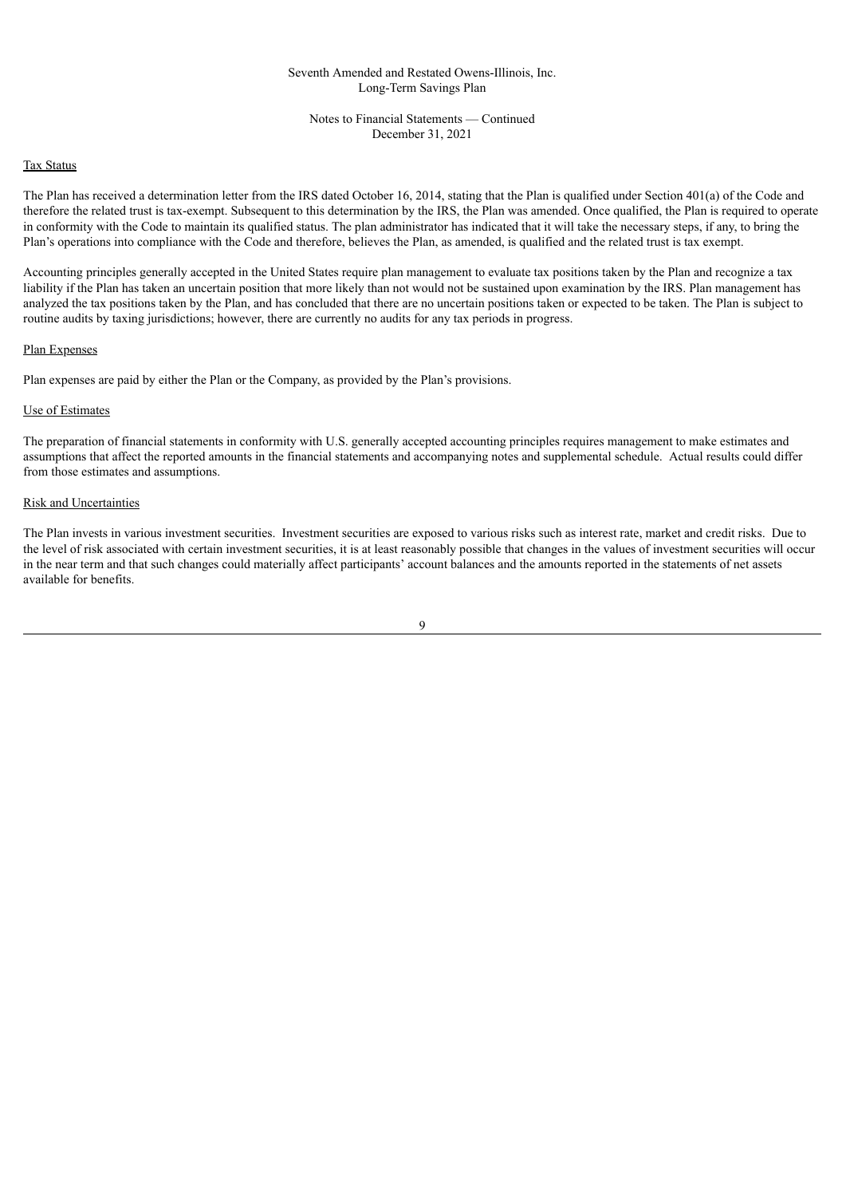#### Notes to Financial Statements — Continued December 31, 2021

#### Tax Status

The Plan has received a determination letter from the IRS dated October 16, 2014, stating that the Plan is qualified under Section 401(a) of the Code and therefore the related trust is tax-exempt. Subsequent to this determination by the IRS, the Plan was amended. Once qualified, the Plan is required to operate in conformity with the Code to maintain its qualified status. The plan administrator has indicated that it will take the necessary steps, if any, to bring the Plan's operations into compliance with the Code and therefore, believes the Plan, as amended, is qualified and the related trust is tax exempt.

Accounting principles generally accepted in the United States require plan management to evaluate tax positions taken by the Plan and recognize a tax liability if the Plan has taken an uncertain position that more likely than not would not be sustained upon examination by the IRS. Plan management has analyzed the tax positions taken by the Plan, and has concluded that there are no uncertain positions taken or expected to be taken. The Plan is subject to routine audits by taxing jurisdictions; however, there are currently no audits for any tax periods in progress.

#### Plan Expenses

Plan expenses are paid by either the Plan or the Company, as provided by the Plan's provisions.

#### Use of Estimates

The preparation of financial statements in conformity with U.S. generally accepted accounting principles requires management to make estimates and assumptions that affect the reported amounts in the financial statements and accompanying notes and supplemental schedule. Actual results could differ from those estimates and assumptions.

#### Risk and Uncertainties

The Plan invests in various investment securities. Investment securities are exposed to various risks such as interest rate, market and credit risks. Due to the level of risk associated with certain investment securities, it is at least reasonably possible that changes in the values of investment securities will occur in the near term and that such changes could materially affect participants' account balances and the amounts reported in the statements of net assets available for benefits.

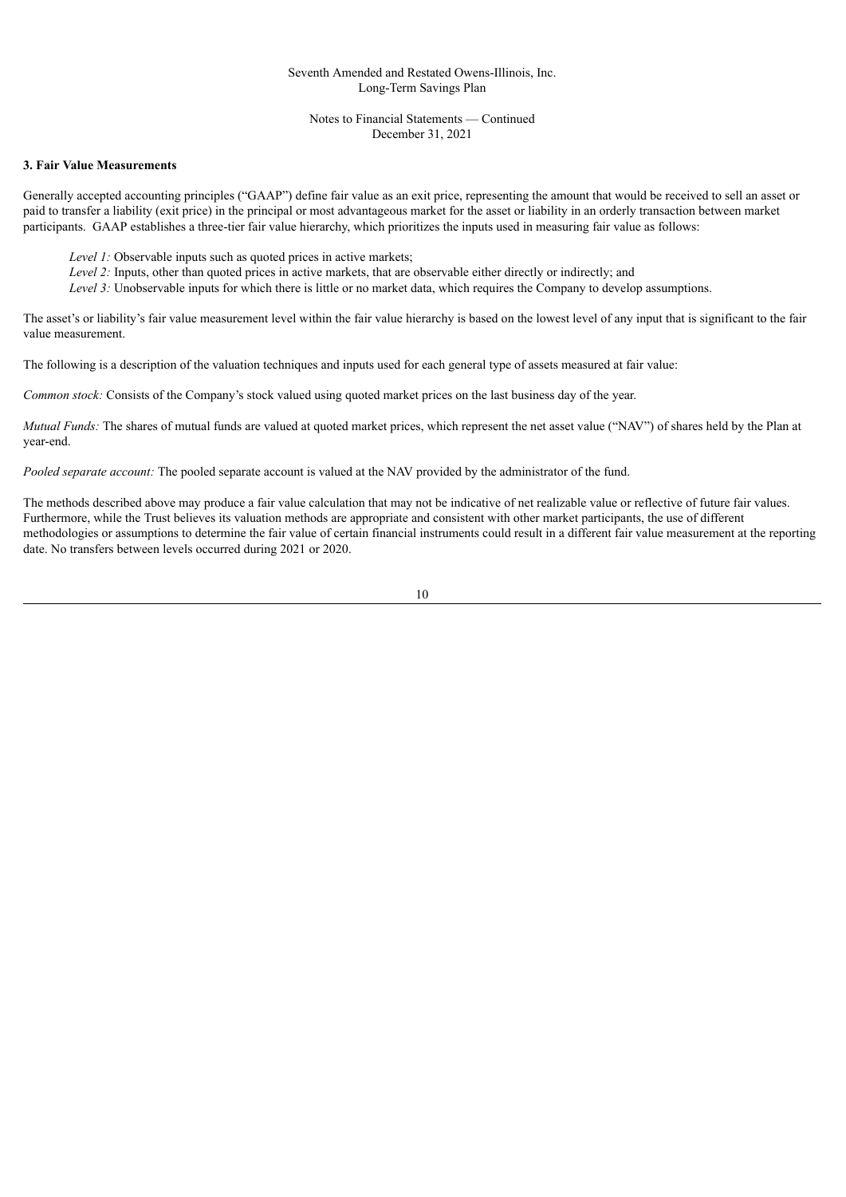Notes to Financial Statements — Continued December 31, 2021

## **3. Fair Value Measurements**

Generally accepted accounting principles ("GAAP") define fair value as an exit price, representing the amount that would be received to sell an asset or paid to transfer a liability (exit price) in the principal or most advantageous market for the asset or liability in an orderly transaction between market participants. GAAP establishes a three-tier fair value hierarchy, which prioritizes the inputs used in measuring fair value as follows:

- *Level 1:* Observable inputs such as quoted prices in active markets;
- *Level 2:* Inputs, other than quoted prices in active markets, that are observable either directly or indirectly; and
- *Level 3:* Unobservable inputs for which there is little or no market data, which requires the Company to develop assumptions.

The asset's or liability's fair value measurement level within the fair value hierarchy is based on the lowest level of any input that is significant to the fair value measurement.

The following is a description of the valuation techniques and inputs used for each general type of assets measured at fair value:

*Common stock:* Consists of the Company's stock valued using quoted market prices on the last business day of the year.

*Mutual Funds:* The shares of mutual funds are valued at quoted market prices, which represent the net asset value ("NAV") of shares held by the Plan at year-end.

*Pooled separate account:* The pooled separate account is valued at the NAV provided by the administrator of the fund.

The methods described above may produce a fair value calculation that may not be indicative of net realizable value or reflective of future fair values. Furthermore, while the Trust believes its valuation methods are appropriate and consistent with other market participants, the use of different methodologies or assumptions to determine the fair value of certain financial instruments could result in a different fair value measurement at the reporting date. No transfers between levels occurred during 2021 or 2020.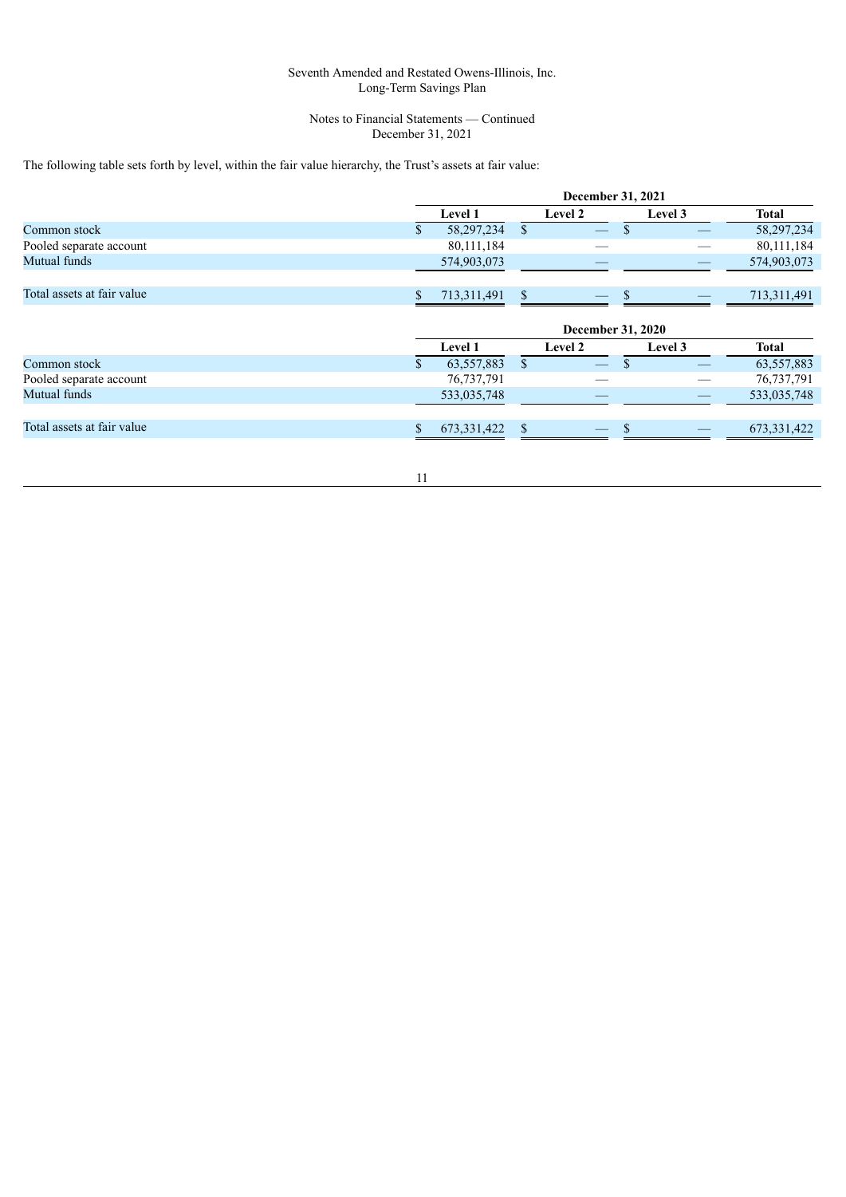## Notes to Financial Statements — Continued December 31, 2021

The following table sets forth by level, within the fair value hierarchy, the Trust's assets at fair value:

|                            | December 31, 2021 |    |                          |               |         |              |
|----------------------------|-------------------|----|--------------------------|---------------|---------|--------------|
|                            | <b>Level 1</b>    |    | <b>Level 2</b>           |               | Level 3 | <b>Total</b> |
| Common stock               | 58,297,234        | \$ |                          |               |         | 58,297,234   |
| Pooled separate account    | 80,111,184        |    |                          |               |         | 80,111,184   |
| Mutual funds               | 574,903,073       |    |                          |               |         | 574,903,073  |
| Total assets at fair value | \$<br>713,311,491 | \$ | $\qquad \qquad -$        | <sup>\$</sup> |         | 713,311,491  |
|                            |                   |    | <b>December 31, 2020</b> |               |         |              |
|                            |                   |    |                          |               |         |              |
|                            | Level 1           |    | Level 2                  |               | Level 3 | <b>Total</b> |
| Common stock               | 63,557,883        | \$ | $\qquad \qquad -$        |               |         | 63,557,883   |
| Pooled separate account    | 76, 737, 791      |    |                          |               |         | 76, 737, 791 |
| Mutual funds               | 533,035,748       |    |                          |               |         | 533,035,748  |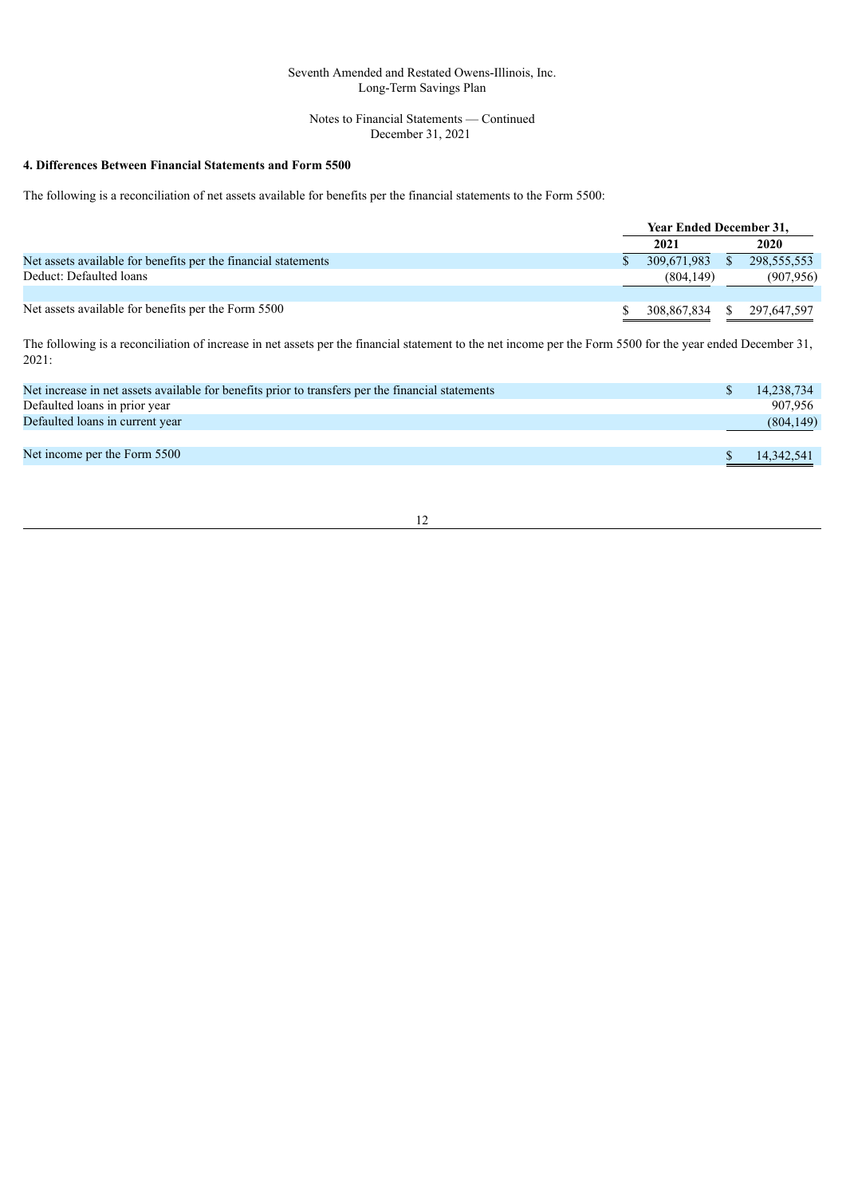#### Notes to Financial Statements — Continued December 31, 2021

# **4. Differences Between Financial Statements and Form 5500**

The following is a reconciliation of net assets available for benefits per the financial statements to the Form 5500:

|                                                                | <b>Year Ended December 31.</b> |    |               |
|----------------------------------------------------------------|--------------------------------|----|---------------|
|                                                                | 2021                           |    | 2020          |
| Net assets available for benefits per the financial statements | 309.671.983                    |    | 298, 555, 553 |
| Deduct: Defaulted loans                                        | (804, 149)                     |    | (907, 956)    |
|                                                                |                                |    |               |
| Net assets available for benefits per the Form 5500            | 308,867,834                    | S. | 297.647.597   |

The following is a reconciliation of increase in net assets per the financial statement to the net income per the Form 5500 for the year ended December 31, 2021:

| Net increase in net assets available for benefits prior to transfers per the financial statements | 14,238,734 |
|---------------------------------------------------------------------------------------------------|------------|
| Defaulted loans in prior year                                                                     | 907.956    |
| Defaulted loans in current year                                                                   | (804, 149) |
|                                                                                                   |            |
| Net income per the Form 5500                                                                      | 14.342.541 |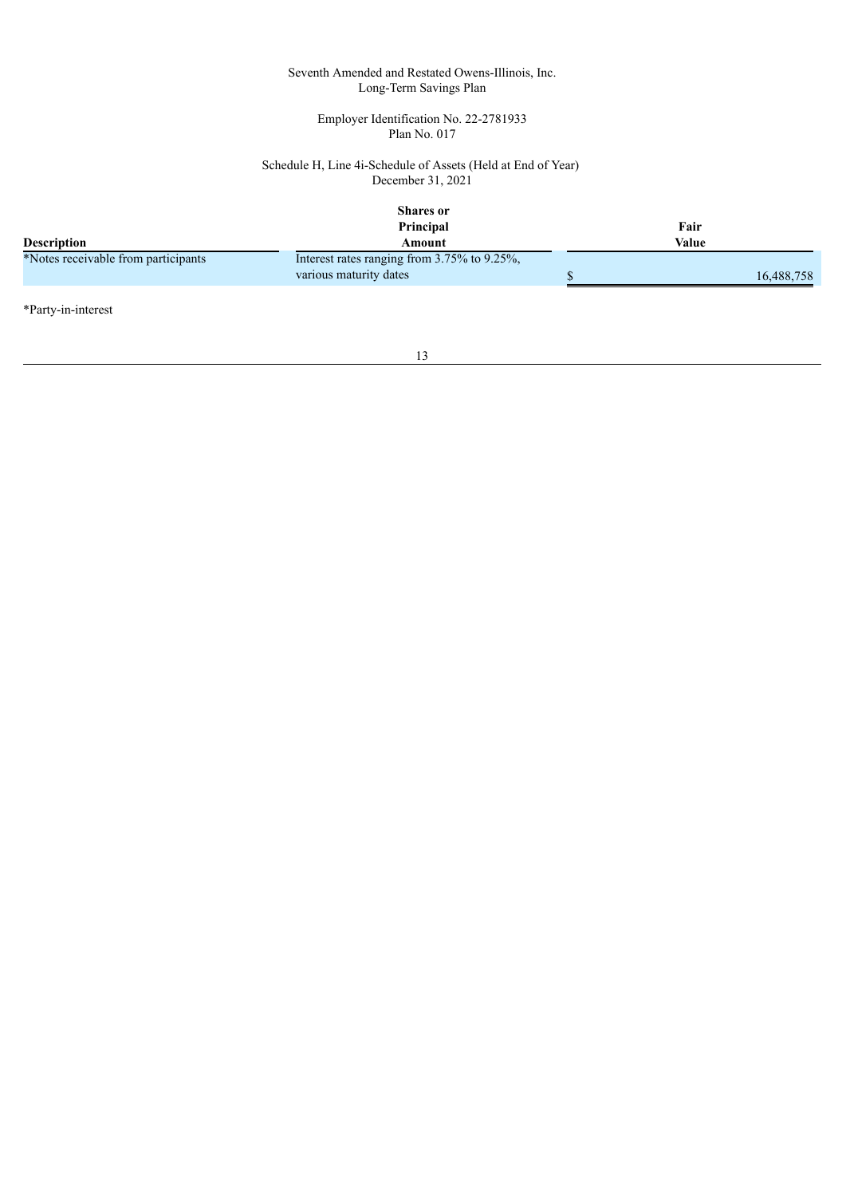Employer Identification No. 22-2781933 Plan No. 017

#### Schedule H, Line 4i-Schedule of Assets (Held at End of Year) December 31, 2021

<span id="page-13-0"></span>

| <b>Shares or</b><br>Principal<br>Fair |                                             |  |            |
|---------------------------------------|---------------------------------------------|--|------------|
| <b>Description</b>                    | Amount                                      |  | Value      |
| *Notes receivable from participants   | Interest rates ranging from 3.75% to 9.25%, |  |            |
|                                       | various maturity dates                      |  | 16,488,758 |

\*Party-in-interest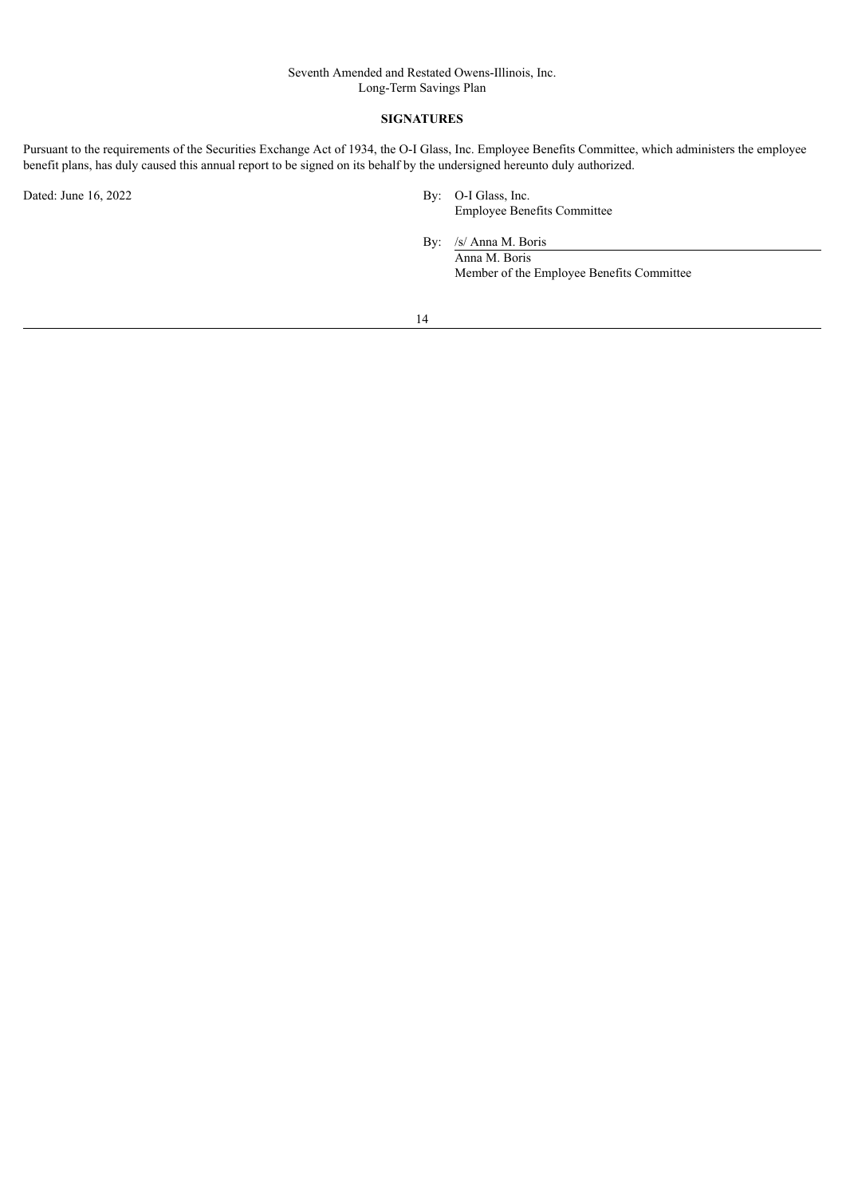#### **SIGNATURES**

Pursuant to the requirements of the Securities Exchange Act of 1934, the O-I Glass, Inc. Employee Benefits Committee, which administers the employee benefit plans, has duly caused this annual report to be signed on its behalf by the undersigned hereunto duly authorized.

Dated: June 16, 2022 By: O-I Glass, Inc.

Employee Benefits Committee

By: /s/ Anna M. Boris Anna M. Boris Member of the Employee Benefits Committee